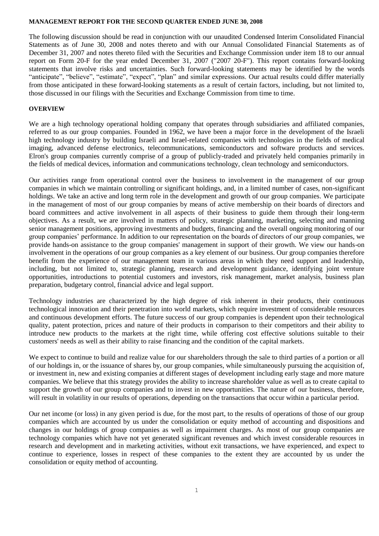#### **MANAGEMENT REPORT FOR THE SECOND QUARTER ENDED JUNE 30, 2008**

The following discussion should be read in conjunction with our unaudited Condensed Interim Consolidated Financial Statements as of June 30, 2008 and notes thereto and with our Annual Consolidated Financial Statements as of December 31, 2007 and notes thereto filed with the Securities and Exchange Commission under item 18 to our annual report on Form 20-F for the year ended December 31, 2007 ("2007 20-F"). This report contains forward-looking statements that involve risks and uncertainties. Such forward-looking statements may be identified by the words "anticipate", "believe", "estimate", "expect", "plan" and similar expressions. Our actual results could differ materially from those anticipated in these forward-looking statements as a result of certain factors, including, but not limited to, those discussed in our filings with the Securities and Exchange Commission from time to time.

### **OVERVIEW**

We are a high technology operational holding company that operates through subsidiaries and affiliated companies, referred to as our group companies. Founded in 1962, we have been a major force in the development of the Israeli high technology industry by building Israeli and Israel-related companies with technologies in the fields of medical imaging, advanced defense electronics, telecommunications, semiconductors and software products and services. Elron's group companies currently comprise of a group of publicly-traded and privately held companies primarily in the fields of medical devices, information and communications technology, clean technology and semiconductors.

Our activities range from operational control over the business to involvement in the management of our group companies in which we maintain controlling or significant holdings, and, in a limited number of cases, non-significant holdings. We take an active and long term role in the development and growth of our group companies. We participate in the management of most of our group companies by means of active membership on their boards of directors and board committees and active involvement in all aspects of their business to guide them through their long-term objectives. As a result, we are involved in matters of policy, strategic planning, marketing, selecting and manning senior management positions, approving investments and budgets, financing and the overall ongoing monitoring of our group companies' performance. In addition to our representation on the boards of directors of our group companies, we provide hands-on assistance to the group companies' management in support of their growth. We view our hands-on involvement in the operations of our group companies as a key element of our business. Our group companies therefore benefit from the experience of our management team in various areas in which they need support and leadership, including, but not limited to, strategic planning, research and development guidance, identifying joint venture opportunities, introductions to potential customers and investors, risk management, market analysis, business plan preparation, budgetary control, financial advice and legal support.

Technology industries are characterized by the high degree of risk inherent in their products, their continuous technological innovation and their penetration into world markets, which require investment of considerable resources and continuous development efforts. The future success of our group companies is dependent upon their technological quality, patent protection, prices and nature of their products in comparison to their competitors and their ability to introduce new products to the markets at the right time, while offering cost effective solutions suitable to their customers' needs as well as their ability to raise financing and the condition of the capital markets.

We expect to continue to build and realize value for our shareholders through the sale to third parties of a portion or all of our holdings in, or the issuance of shares by, our group companies, while simultaneously pursuing the acquisition of, or investment in, new and existing companies at different stages of development including early stage and more mature companies. We believe that this strategy provides the ability to increase shareholder value as well as to create capital to support the growth of our group companies and to invest in new opportunities. The nature of our business, therefore, will result in volatility in our results of operations, depending on the transactions that occur within a particular period.

Our net income (or loss) in any given period is due, for the most part, to the results of operations of those of our group companies which are accounted by us under the consolidation or equity method of accounting and dispositions and changes in our holdings of group companies as well as impairment charges. As most of our group companies are technology companies which have not yet generated significant revenues and which invest considerable resources in research and development and in marketing activities, without exit transactions, we have experienced, and expect to continue to experience, losses in respect of these companies to the extent they are accounted by us under the consolidation or equity method of accounting.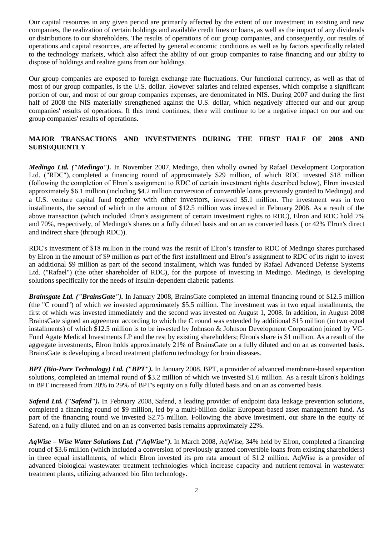Our capital resources in any given period are primarily affected by the extent of our investment in existing and new companies, the realization of certain holdings and available credit lines or loans, as well as the impact of any dividends or distributions to our shareholders. The results of operations of our group companies, and consequently, our results of operations and capital resources, are affected by general economic conditions as well as by factors specifically related to the technology markets, which also affect the ability of our group companies to raise financing and our ability to dispose of holdings and realize gains from our holdings.

Our group companies are exposed to foreign exchange rate fluctuations. Our functional currency, as well as that of most of our group companies, is the U.S. dollar. However salaries and related expenses, which comprise a significant portion of our, and most of our group companies expenses, are denominated in NIS. During 2007 and during the first half of 2008 the NIS materially strengthened against the U.S. dollar, which negatively affected our and our group companies' results of operations. If this trend continues, there will continue to be a negative impact on our and our group companies' results of operations.

# **MAJOR TRANSACTIONS AND INVESTMENTS DURING THE FIRST HALF OF 2008 AND SUBSEQUENTLY**

*Medingo Ltd. ("Medingo").* In November 2007, Medingo, then wholly owned by Rafael Development Corporation Ltd. ("RDC"), completed a financing round of approximately \$29 million, of which RDC invested \$18 million (following the completion of Elron's assignment to RDC of certain investment rights described below), Elron invested approximately \$6.1 million (including \$4.2 million conversion of convertible loans previously granted to Medingo) and a U.S. venture capital fund together with other investors, invested \$5.1 million. The investment was in two installments, the second of which in the amount of \$12.5 million was invested in February 2008. As a result of the above transaction (which included Elron's assignment of certain investment rights to RDC), Elron and RDC hold 7% and 70%, respectively, of Medingo's shares on a fully diluted basis and on an as converted basis ( or 42% Elron's direct and indirect share (through RDC)).

RDC's investment of \$18 million in the round was the result of Elron's transfer to RDC of Medingo shares purchased by Elron in the amount of \$9 million as part of the first installment and Elron's assignment to RDC of its right to invest an additional \$9 million as part of the second installment, which was funded by Rafael Advanced Defense Systems Ltd. ("Rafael") (the other shareholder of RDC), for the purpose of investing in Medingo. Medingo, is developing solutions specifically for the needs of insulin-dependent diabetic patients.

*Brainsgate Ltd. ("BrainsGate").* In January 2008, BrainsGate completed an internal financing round of \$12.5 million (the "C round") of which we invested approximately \$5.5 million. The investment was in two equal installments, the first of which was invested immediately and the second was invested on August 1, 2008. In addition, in August 2008 BrainsGate signed an agreement according to which the C round was extended by additional \$15 million (in two equal installments) of which \$12.5 million is to be invested by Johnson & Johnson Development Corporation joined by VC-Fund Agate Medical Investments LP and the rest by existing shareholders; Elron's share is \$1 million. As a result of the aggregate investments, Elron holds approximately 21% of BrainsGate on a fully diluted and on an as converted basis. BrainsGate is developing a broad treatment platform technology for brain diseases.

*BPT (Bio-Pure Technology) Ltd. ("BPT").* In January 2008, BPT, a provider of advanced membrane-based separation solutions, completed an internal round of \$3.2 million of which we invested \$1.6 million. As a result Elron's holdings in BPT increased from 20% to 29% of BPT's equity on a fully diluted basis and on an as converted basis.

*Safend Ltd. ("Safend").* In February 2008, Safend, a leading provider of endpoint data leakage prevention solutions, completed a financing round of \$9 million, led by a multi-billion dollar European-based asset management fund. As part of the financing round we invested \$2.75 million. Following the above investment, our share in the equity of Safend, on a fully diluted and on an as converted basis remains approximately 22%.

*AqWise – Wise Water Solutions Ltd. ("AqWise").* In March 2008, AqWise, 34% held by Elron, completed a financing round of \$3.6 million (which included a conversion of previously granted convertible loans from existing shareholders) in three equal installments, of which Elron invested its pro rata amount of \$1.2 million. AqWise is a provider of advanced biological wastewater treatment technologies which increase capacity and nutrient removal in wastewater treatment plants, utilizing advanced bio film technology.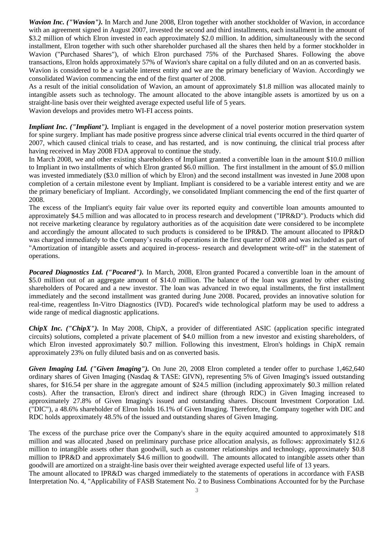*Wavion Inc. ("Wavion").* In March and June 2008, Elron together with another stockholder of Wavion, in accordance with an agreement signed in August 2007, invested the second and third installments, each installment in the amount of \$3.2 million of which Elron invested in each approximately \$2.0 million. In addition, simultaneously with the second installment, Elron together with such other shareholder purchased all the shares then held by a former stockholder in Wavion ("Purchased Shares"), of which Elron purchased 75% of the Purchased Shares. Following the above transactions, Elron holds approximately 57% of Wavion's share capital on a fully diluted and on an as converted basis. Wavion is considered to be a variable interest entity and we are the primary beneficiary of Wavion. Accordingly we consolidated Wavion commencing the end of the first quarter of 2008.

As a result of the initial consolidation of Wavion, an amount of approximately \$1.8 million was allocated mainly to intangible assets such as technology. The amount allocated to the above intangible assets is amortized by us on a straight-line basis over their weighted average expected useful life of 5 years.

Wavion develops and provides metro WI-FI access points.

*Impliant Inc.* ("*Impliant*"). Impliant is engaged in the development of a novel posterior motion preservation system for spine surgery. Impliant has made positive progress since adverse clinical trial events occurred in the third quarter of 2007, which caused clinical trials to cease, and has restarted, and is now continuing, the clinical trial process after having received in May 2008 FDA approval to continue the study.

In March 2008, we and other existing shareholders of Impliant granted a convertible loan in the amount \$10.0 million to Impliant in two installments of which Elron granted \$6.0 million. The first installment in the amount of \$5.0 million was invested immediately (\$3.0 million of which by Elron) and the second installment was invested in June 2008 upon completion of a certain milestone event by Impliant. Impliant is considered to be a variable interest entity and we are the primary beneficiary of Impliant. Accordingly, we consolidated Impliant commencing the end of the first quarter of 2008.

The excess of the Impliant's equity fair value over its reported equity and convertible loan amounts amounted to approximately \$4.5 million and was allocated to in process research and development ("IPR&D"). Products which did not receive marketing clearance by regulatory authorities as of the acquisition date were considered to be incomplete and accordingly the amount allocated to such products is considered to be IPR&D. The amount allocated to IPR&D was charged immediately to the Company's results of operations in the first quarter of 2008 and was included as part of "Amortization of intangible assets and acquired in-process- research and development write-off" in the statement of operations.

*Pocared Diagnostics Ltd. ("Pocared").* In March, 2008, Elron granted Pocared a convertible loan in the amount of \$5.0 million out of an aggregate amount of \$14.0 million. The balance of the loan was granted by other existing shareholders of Pocared and a new investor. The loan was advanced in two equal installments, the first installment immediately and the second installment was granted during June 2008. Pocared, provides an innovative solution for real-time, reagentless In-Vitro Diagnostics (IVD). Pocared's wide technological platform may be used to address a wide range of medical diagnostic applications.

*ChipX Inc. ("ChipX").* In May 2008, ChipX, a provider of differentiated ASIC (application specific integrated circuits) solutions, completed a private placement of \$4.0 million from a new investor and existing shareholders, of which Elron invested approximately \$0.7 million. Following this investment, Elron's holdings in ChipX remain approximately 23% on fully diluted basis and on as converted basis.

*Given Imaging Ltd. ("Given Imaging").* On June 20, 2008 Elron completed a tender offer to purchase 1,462,640 ordinary shares of Given Imaging (Nasdaq & TASE: GIVN), representing 5% of Given Imaging's issued outstanding shares, for \$16.54 per share in the aggregate amount of \$24.5 million (including approximately \$0.3 million related costs). After the transaction, Elron's direct and indirect share (through RDC) in Given Imaging increased to approximately 27.8% of Given Imaging's issued and outstanding shares. Discount Investment Corporation Ltd. ("DIC"), a 48.6% shareholder of Elron holds 16.1% of Given Imaging. Therefore, the Company together with DIC and RDC holds approximately 48.5% of the issued and outstanding shares of Given Imaging.

The excess of the purchase price over the Company's share in the equity acquired amounted to approximately \$18 million and was allocated ,based on preliminary purchase price allocation analysis, as follows: approximately \$12.6 million to intangible assets other than goodwill, such as customer relationships and technology, approximately \$0.8 million to IPR&D and approximately \$4.6 million to goodwill. The amounts allocated to intangible assets other than goodwill are amortized on a straight-line basis over their weighted average expected useful life of 13 years.

The amount allocated to IPR&D was charged immediately to the statements of operations in accordance with FASB Interpretation No. 4, "Applicability of FASB Statement No. 2 to Business Combinations Accounted for by the Purchase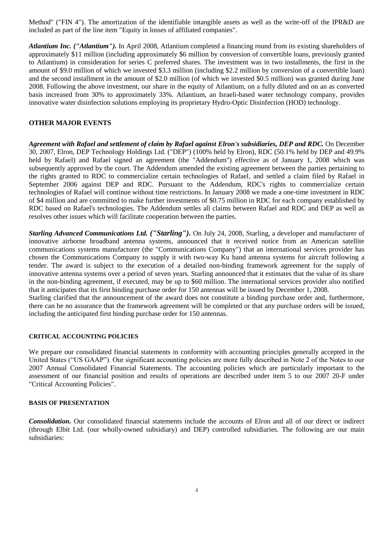Method" ("FIN 4"). The amortization of the identifiable intangible assets as well as the write-off of the IPR&D are included as part of the line item "Equity in losses of affiliated companies".

*Atlantium Inc. ("Atlantium").* In April 2008, Atlantium completed a financing round from its existing shareholders of approximately \$11 million (including approximately \$6 million by conversion of convertible loans, previously granted to Atlantium) in consideration for series C preferred shares. The investment was in two installments, the first in the amount of \$9.0 million of which we invested \$3.3 million (including \$2.2 million by conversion of a convertible loan) and the second installment in the amount of \$2.0 million (of which we invested \$0.5 million) was granted during June 2008. Following the above investment, our share in the equity of Atlantium, on a fully diluted and on an as converted basis increased from 30% to approximately 33%. Atlantium, an Israeli-based water technology company, provides innovative water disinfection solutions employing its proprietary Hydro-Optic Disinfection (HOD) technology.

## **OTHER MAJOR EVENTS**

*Agreement with Rafael and settlement of claim by Rafael against Elron's subsidiaries, DEP and RDC.* On December 30, 2007, Elron, DEP Technology Holdings Ltd. ("DEP") (100% held by Elron), RDC (50.1% held by DEP and 49.9% held by Rafael) and Rafael signed an agreement (the "Addendum") effective as of January 1, 2008 which was subsequently approved by the court. The Addendum amended the existing agreement between the parties pertaining to the rights granted to RDC to commercialize certain technologies of Rafael, and settled a claim filed by Rafael in September 2006 against DEP and RDC. Pursuant to the Addendum, RDC's rights to commercialize certain technologies of Rafael will continue without time restrictions. In January 2008 we made a one-time investment in RDC of \$4 million and are committed to make further investments of \$0.75 million in RDC for each company established by RDC based on Rafael's technologies. The Addendum settles all claims between Rafael and RDC and DEP as well as resolves other issues which will facilitate cooperation between the parties.

*Starling Advanced Communications Ltd. ("Starling").* On July 24, 2008, Starling, a developer and manufacturer of innovative airborne broadband antenna systems, announced that it received notice from an American satellite communications systems manufacturer (the "Communications Company") that an international services provider has chosen the Communications Company to supply it with two-way Ku band antenna systems for aircraft following a tender. The award is subject to the execution of a detailed non-binding framework agreement for the supply of innovative antenna systems over a period of seven years. Starling announced that it estimates that the value of its share in the non-binding agreement, if executed, may be up to \$60 million. The international services provider also notified that it anticipates that its first binding purchase order for 150 antennas will be issued by December 1, 2008. Starling clarified that the announcement of the award does not constitute a binding purchase order and, furthermore, there can be no assurance that the framework agreement will be completed or that any purchase orders will be issued, including the anticipated first binding purchase order for 150 antennas.

### **CRITICAL ACCOUNTING POLICIES**

We prepare our consolidated financial statements in conformity with accounting principles generally accepted in the United States ("US GAAP"). Our significant accounting policies are more fully described in Note 2 of the Notes to our 2007 Annual Consolidated Financial Statements. The accounting policies which are particularly important to the assessment of our financial position and results of operations are described under item 5 to our 2007 20-F under "Critical Accounting Policies".

#### **BASIS OF PRESENTATION**

*Consolidation.* Our consolidated financial statements include the accounts of Elron and all of our direct or indirect (through Elbit Ltd. (our wholly-owned subsidiary) and DEP) controlled subsidiaries. The following are our main subsidiaries: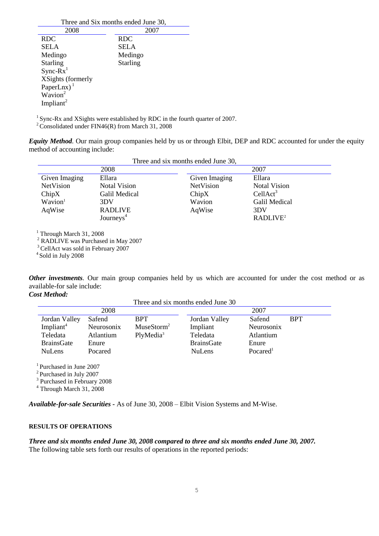| Three and Six months ended June 30, |                 |  |  |
|-------------------------------------|-----------------|--|--|
| 2008                                | 2007            |  |  |
| <b>RDC</b>                          | <b>RDC</b>      |  |  |
| SELA                                | <b>SELA</b>     |  |  |
| Medingo                             | Medingo         |  |  |
| <b>Starling</b>                     | <b>Starling</b> |  |  |
| $Sync-Rx1$                          |                 |  |  |
| XSights (formerly                   |                 |  |  |
| PaperLnx) $1$                       |                 |  |  |
| $\overline{W}$ avion <sup>2</sup>   |                 |  |  |
| Impliant <sup>2</sup>               |                 |  |  |
|                                     |                 |  |  |

<sup>1</sup> Sync-Rx and XSights were established by RDC in the fourth quarter of 2007.

<sup>2</sup> Consolidated under FIN46(R) from March 31, 2008

*Equity Method.* Our main group companies held by us or through Elbit, DEP and RDC accounted for under the equity method of accounting include:

| Three and six months ended June 30, |                       |                  |                      |  |
|-------------------------------------|-----------------------|------------------|----------------------|--|
|                                     | 2008                  |                  | 2007                 |  |
| Given Imaging                       | Ellara                | Given Imaging    | Ellara               |  |
| NetVision                           | <b>Notal Vision</b>   | <b>NetVision</b> | <b>Notal Vision</b>  |  |
| ChipX                               | Galil Medical         | ChipX            | CellAct <sup>3</sup> |  |
| Wavion <sup>1</sup>                 | 3DV                   | Wavion           | Galil Medical        |  |
| AqWise                              | <b>RADLIVE</b>        | AqWise           | 3DV                  |  |
|                                     | Journeys <sup>4</sup> |                  | RADLIVE <sup>2</sup> |  |
|                                     |                       |                  |                      |  |

Three and six months ended June 30

 $1$  Through March 31, 2008

<sup>2</sup> RADLIVE was Purchased in May 2007

<sup>3</sup> CellAct was sold in February 2007

4 Sold in July 2008

*Other investments.* Our main group companies held by us which are accounted for under the cost method or as available-for sale include:

*Cost Method:* 

| Three and six months ended June 30 |            |                        |                   |                      |            |
|------------------------------------|------------|------------------------|-------------------|----------------------|------------|
| 2008                               |            |                        | 2007              |                      |            |
| Jordan Valley                      | Safend     | <b>BPT</b>             | Jordan Valley     | Safend               | <b>BPT</b> |
| Impliant <sup>4</sup>              | Neurosonix | MuseStorm <sup>2</sup> | Impliant          | Neurosonix           |            |
| Teledata                           | Atlantium  | PlyMedia <sup>3</sup>  | Teledata          | Atlantium            |            |
| <b>BrainsGate</b>                  | Enure      |                        | <b>BrainsGate</b> | Enure                |            |
| <b>NuLens</b>                      | Pocared    |                        | <b>NuLens</b>     | Pocared <sup>1</sup> |            |
|                                    |            |                        |                   |                      |            |

<sup>1</sup> Purchased in June 2007

<sup>2</sup> Purchased in July 2007

3 Purchased in February 2008

 $4$  Through March 31, 2008

*Available-for-sale Securities -* As of June 30, 2008 – Elbit Vision Systems and M-Wise.

### **RESULTS OF OPERATIONS**

*Three and six months ended June 30, 2008 compared to three and six months ended June 30, 2007.* The following table sets forth our results of operations in the reported periods: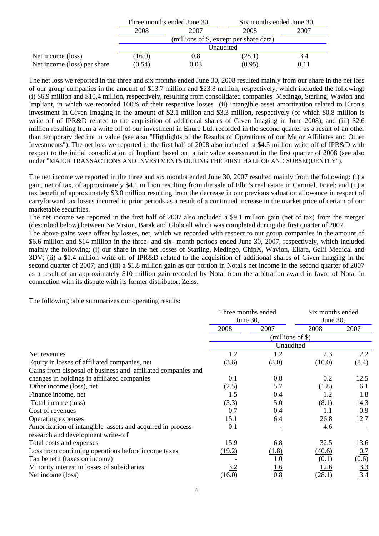|                             | Three months ended June 30,             |           |        | Six months ended June 30, |  |
|-----------------------------|-----------------------------------------|-----------|--------|---------------------------|--|
|                             | 2008                                    | 2007      | 2008   | 2007                      |  |
|                             | (millions of \$, except per share data) |           |        |                           |  |
|                             | Unaudited                               |           |        |                           |  |
| Net income (loss)           | (16.0)                                  | $\rm 0.8$ | (28.1) | 3.4                       |  |
| Net income (loss) per share | (0.54)                                  | 0.03      | (0.95) | 0.11                      |  |

The net loss we reported in the three and six months ended June 30, 2008 resulted mainly from our share in the net loss of our group companies in the amount of \$13.7 million and \$23.8 million, respectively, which included the following: (i) \$6.9 million and \$10.4 million, respectively, resulting from consolidated companies Medingo, Starling, Wavion and Impliant, in which we recorded 100% of their respective losses (ii) intangible asset amortization related to Elron's investment in Given Imaging in the amount of \$2.1 million and \$3.3 million, respectively (of which \$0.8 million is write-off of IPR&D related to the acquisition of additional shares of Given Imaging in June 2008), and (iii) \$2.6 million resulting from a write off of our investment in Enure Ltd. recorded in the second quarter as a result of an other than temporary decline in value (see also "Highlights of the Results of Operations of our Major Affiliates and Other Investments"). The net loss we reported in the first half of 2008 also included a \$4.5 million write-off of IPR&D with respect to the initial consolidation of Impliant based on a fair value assessment in the first quarter of 2008 (see also under "MAJOR TRANSACTIONS AND INVESTMENTS DURING THE FIRST HALF OF AND SUBSEQUENTLY").

The net income we reported in the three and six months ended June 30, 2007 resulted mainly from the following: (i) a gain, net of tax, of approximately \$4.1 million resulting from the sale of Elbit's real estate in Carmiel, Israel; and (ii) a tax benefit of approximately \$3.0 million resulting from the decrease in our previous valuation allowance in respect of carryforward tax losses incurred in prior periods as a result of a continued increase in the market price of certain of our marketable securities.

The net income we reported in the first half of 2007 also included a \$9.1 million gain (net of tax) from the merger (described below) between NetVision, Barak and Globcall which was completed during the first quarter of 2007.

The above gains were offset by losses, net, which we recorded with respect to our group companies in the amount of \$6.6 million and \$14 million in the three- and six- month periods ended June 30, 2007, respectively, which included mainly the following: (i) our share in the net losses of Starling, Medingo, ChipX, Wavion, Ellara, Galil Medical and 3DV; (ii) a \$1.4 million write-off of IPR&D related to the acquisition of additional shares of Given Imaging in the second quarter of 2007; and (iii) a \$1.8 million gain as our portion in Notal's net income in the second quarter of 2007 as a result of an approximately \$10 million gain recorded by Notal from the arbitration award in favor of Notal in connection with its dispute with its former distributor, Zeiss.

The following table summarizes our operating results:

|                                                              | Three months ended |                      | Six months ended |             |
|--------------------------------------------------------------|--------------------|----------------------|------------------|-------------|
|                                                              | June 30,           |                      | June 30,         |             |
|                                                              | 2008               | 2007                 | 2008             | 2007        |
|                                                              |                    | (millions of $\$\$ ) |                  |             |
|                                                              |                    | Unaudited            |                  |             |
| Net revenues                                                 | 1.2                | 1.2                  | 2.3              | 2.2         |
| Equity in losses of affiliated companies, net                | (3.6)              | (3.0)                | (10.0)           | (8.4)       |
| Gains from disposal of business and affiliated companies and |                    |                      |                  |             |
| changes in holdings in affiliated companies                  | 0.1                | 0.8                  | 0.2              | 12.5        |
| Other income (loss), net                                     | (2.5)              | 5.7                  | (1.8)            | 6.1         |
| Finance income, net                                          | <u>1.5</u>         | 0.4                  | <u>1.2</u>       | 1.8         |
| Total income (loss)                                          | (3.3)              | <u>5.0</u>           | (8.1)            | 14.3        |
| Cost of revenues                                             | 0.7                | 0.4                  | 1.1              | 0.9         |
| Operating expenses                                           | 15.1               | 6.4                  | 26.8             | 12.7        |
| Amortization of intangible assets and acquired in-process-   | 0.1                |                      | 4.6              |             |
| research and development write-off                           |                    |                      |                  |             |
| Total costs and expenses                                     | <u>15.9</u>        | <u>6.8</u>           | 32.5             | <u>13.6</u> |
| Loss from continuing operations before income taxes          | (19.2)             | (1.8)                | (40.6)           | 0.7         |
| Tax benefit (taxes on income)                                |                    | 1.0                  | (0.1)            | (0.6)       |
| Minority interest in losses of subsidiaries                  | 3.2                | <u>1.6</u>           | 12.6             | 3.3         |
| Net income (loss)                                            | (16.0)             | 0.8                  | (28.1)           | 3.4         |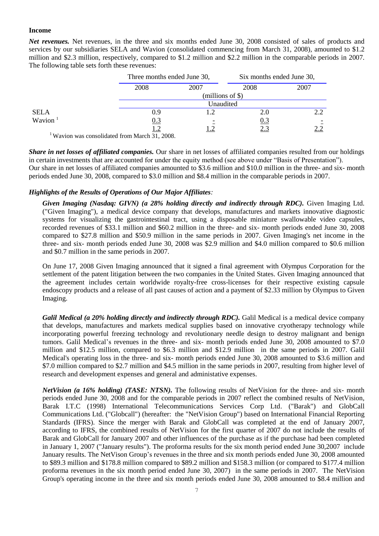#### **Income**

*Net revenues.* Net revenues, in the three and six months ended June 30, 2008 consisted of sales of products and services by our subsidiaries SELA and Wavion (consolidated commencing from March 31, 2008), amounted to \$1.2 million and \$2.3 million, respectively, compared to \$1.2 million and \$2.2 million in the comparable periods in 2007. The following table sets forth these revenues:

|             |                                                                                                            | Three months ended June 30, |                    | Six months ended June 30, |  |
|-------------|------------------------------------------------------------------------------------------------------------|-----------------------------|--------------------|---------------------------|--|
|             | 2008                                                                                                       | 2007                        | 2008               | 2007                      |  |
|             |                                                                                                            |                             | $(millions of \$)$ |                           |  |
|             |                                                                                                            |                             | Unaudited          |                           |  |
| <b>SELA</b> | 0.9                                                                                                        |                             | 2.0                | 2.2                       |  |
| Wavion $1$  | 0.3                                                                                                        |                             | <u>0.3</u>         |                           |  |
|             | ⊥.∠                                                                                                        |                             | 2.3                |                           |  |
| $1$ www.    | 1.1.1.1<br>$\overline{11}$ $\overline{12}$ $\overline{21}$ $\overline{21}$ $\overline{21}$ $\overline{21}$ |                             |                    |                           |  |

<sup>1</sup>Wavion was consolidated from March 31, 2008.

*Share in net losses of affiliated companies.* Our share in net losses of affiliated companies resulted from our holdings in certain investments that are accounted for under the equity method (see above under "Basis of Presentation"). Our share in net losses of affiliated companies amounted to \$3.6 million and \$10.0 million in the three- and six- month periods ended June 30, 2008, compared to \$3.0 million and \$8.4 million in the comparable periods in 2007.

## *Highlights of the Results of Operations of Our Major Affiliates:*

*Given Imaging (Nasdaq: GIVN) (a 28% holding directly and indirectly through RDC).* Given Imaging Ltd. ("Given Imaging"), a medical device company that develops, manufactures and markets innovative diagnostic systems for visualizing the gastrointestinal tract, using a disposable miniature swallowable video capsules, recorded revenues of \$33.1 million and \$60.2 million in the three- and six- month periods ended June 30, 2008 compared to \$27.8 million and \$50.9 million in the same periods in 2007. Given Imaging's net income in the three- and six- month periods ended June 30, 2008 was \$2.9 million and \$4.0 million compared to \$0.6 million and \$0.7 million in the same periods in 2007.

On June 17, 2008 Given Imaging announced that it signed a final agreement with Olympus Corporation for the settlement of the patent litigation between the two companies in the United States. Given Imaging announced that the agreement includes certain worldwide royalty-free cross-licenses for their respective existing capsule endoscopy products and a release of all past causes of action and a payment of \$2.33 million by Olympus to Given Imaging.

*Galil Medical (a 20% holding directly and indirectly through RDC).* Galil Medical is a medical device company that develops, manufactures and markets medical supplies based on innovative cryotherapy technology while incorporating powerful freezing technology and revolutionary needle design to destroy malignant and benign tumors. Galil Medical's revenues in the three- and six- month periods ended June 30, 2008 amounted to \$7.0 million and \$12.5 million, compared to \$6.3 million and \$12.9 million in the same periods in 2007. Galil Medical's operating loss in the three- and six- month periods ended June 30, 2008 amounted to \$3.6 million and \$7.0 million compared to \$2.7 million and \$4.5 million in the same periods in 2007, resulting from higher level of research and development expenses and general and administative expenses.

*NetVision (a 16% holding) (TASE: NTSN).* The following results of NetVision for the three- and six- month periods ended June 30, 2008 and for the comparable periods in 2007 reflect the combined results of NetVision, Barak I.T.C (1998) International Telecommunications Services Corp Ltd. ("Barak") and GlobCall Communications Ltd. ("Globcall") (hereafter: the "NetVision Group") based on International Financial Reporting Standards (IFRS). Since the merger with Barak and GlobCall was completed at the end of January 2007, according to IFRS, the combined results of NetVision for the first quarter of 2007 do not include the results of Barak and GlobCall for January 2007 and other influences of the purchase as if the purchase had been completed in January 1, 2007 ("January results"). The proforma results for the six month period ended June 30,2007 include January results. The NetVison Group's revenues in the three and six month periods ended June 30, 2008 amounted to \$89.3 million and \$178.8 million compared to \$89.2 million and \$158.3 million (or compared to \$177.4 million proforma revenues in the six month period ended June 30, 2007) in the same periods in 2007. The NetVision Group's operating income in the three and six month periods ended June 30, 2008 amounted to \$8.4 million and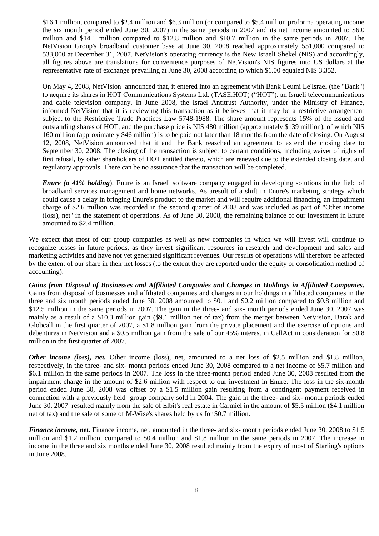\$16.1 million, compared to \$2.4 million and \$6.3 million (or compared to \$5.4 million proforma operating income the six month period ended June 30, 2007) in the same periods in 2007 and its net income amounted to \$6.0 million and \$14.1 million compared to \$12.8 million and \$10.7 million in the same periods in 2007. The NetVision Group's broadband customer base at June 30, 2008 reached approximately 551,000 compared to 533,000 at December 31, 2007. NetVision's operating currency is the New Israeli Shekel (NIS) and accordingly, all figures above are translations for convenience purposes of NetVision's NIS figures into US dollars at the representative rate of exchange prevailing at June 30, 2008 according to which \$1.00 equaled NIS 3.352.

On May 4, 2008, NetVision announced that, it entered into an agreement with Bank Leumi Le'Israel (the "Bank") to acquire its shares in HOT Communications Systems Ltd. (TASE:HOT) ("HOT"), an Israeli telecommunications and cable television company. In June 2008, the Israel Antitrust Authority, under the Ministry of Finance, informed NetVision that it is reviewing this transaction as it believes that it may be a restrictive arrangement subject to the Restrictive Trade Practices Law 5748-1988. The share amount represents 15% of the issued and outstanding shares of HOT, and the purchase price is NIS 480 million (approximately \$139 million), of which NIS 160 million (approximately \$46 million) is to be paid not later than 18 months from the date of closing. On August 12, 2008, NetVision announced that it and the Bank reasched an agreement to extend the closing date to September 30, 2008. The closing of the transaction is subject to certain conditions, including waiver of rights of first refusal, by other shareholders of HOT entitled thereto, which are renewed due to the extended closing date, and regulatory approvals. There can be no assurance that the transaction will be completed.

*Enure (a 41% holding*). Enure is an Israeli software company engaged in developing solutions in the field of broadband services management and home networks. As aresult of a shift in Enure's marketing strategy which could cause a delay in bringing Enure's product to the market and will require additional financing, an impairment charge of \$2.6 million was recorded in the second quarter of 2008 and was included as part of "Other income (loss), net" in the statement of operations. As of June 30, 2008, the remaining balance of our investment in Enure amounted to \$2.4 million.

We expect that most of our group companies as well as new companies in which we will invest will continue to recognize losses in future periods, as they invest significant resources in research and development and sales and marketing activities and have not yet generated significant revenues. Our results of operations will therefore be affected by the extent of our share in their net losses (to the extent they are reported under the equity or consolidation method of accounting).

*Gains from Disposal of Businesses and Affiliated Companies and Changes in Holdings in Affiliated Companies.* Gains from disposal of businesses and affiliated companies and changes in our holdings in affiliated companies in the three and six month periods ended June 30, 2008 amounted to \$0.1 and \$0.2 million compared to \$0.8 million and \$12.5 million in the same periods in 2007. The gain in the three- and six- month periods ended June 30, 2007 was mainly as a result of a \$10.3 million gain (\$9.1 million net of tax) from the merger between NetVision, Barak and Globcall in the first quarter of 2007, a \$1.8 million gain from the private placement and the exercise of options and debentures in NetVision and a \$0.5 million gain from the sale of our 45% interest in CellAct in consideration for \$0.8 million in the first quarter of 2007.

*Other income (loss), net.* Other income (loss), net, amounted to a net loss of \$2.5 million and \$1.8 million, respectively, in the three- and six- month periods ended June 30, 2008 compared to a net income of \$5.7 million and \$6.1 million in the same periods in 2007. The loss in the three-month period ended June 30, 2008 resulted from the impairment charge in the amount of \$2.6 million with respect to our investment in Enure. The loss in the six-month period ended June 30, 2008 was offset by a \$1.5 million gain resulting from a contingent payment received in connection with a previously held group company sold in 2004. The gain in the three- and six- month periods ended June 30, 2007 resulted mainly from the sale of Elbit's real estate in Carmiel in the amount of \$5.5 million (\$4.1 million net of tax) and the sale of some of M-Wise's shares held by us for \$0.7 million.

*Finance income, net.* Finance income, net, amounted in the three- and six- month periods ended June 30, 2008 to \$1.5 million and \$1.2 million, compared to \$0.4 million and \$1.8 million in the same periods in 2007. The increase in income in the three and six months ended June 30, 2008 resulted mainly from the expiry of most of Starling's options in June 2008.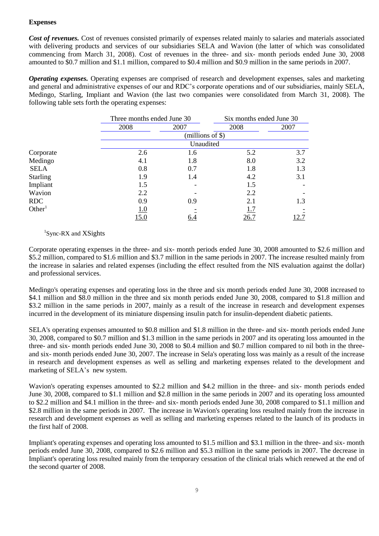## **Expenses**

*Cost of revenues.* Cost of revenues consisted primarily of expenses related mainly to salaries and materials associated with delivering products and services of our subsidiaries SELA and Wavion (the latter of which was consolidated commencing from March 31, 2008). Cost of revenues in the three- and six- month periods ended June 30, 2008 amounted to \$0.7 million and \$1.1 million, compared to \$0.4 million and \$0.9 million in the same periods in 2007.

*Operating expenses.* Operating expenses are comprised of research and development expenses, sales and marketing and general and administrative expenses of our and RDC's corporate operations and of our subsidiaries, mainly SELA, Medingo, Starling, Impliant and Wavion (the last two companies were consolidated from March 31, 2008). The following table sets forth the operating expenses:

|                    |             | Three months ended June 30 |      | Six months ended June 30 |  |
|--------------------|-------------|----------------------------|------|--------------------------|--|
|                    | 2008        | 2007                       | 2008 | 2007                     |  |
|                    |             | (millions of \$)           |      |                          |  |
|                    |             | Unaudited                  |      |                          |  |
| Corporate          | 2.6         | 1.6                        | 5.2  | 3.7                      |  |
| Medingo            | 4.1         | 1.8                        | 8.0  | 3.2                      |  |
| <b>SELA</b>        | 0.8         | 0.7                        | 1.8  | 1.3                      |  |
| <b>Starling</b>    | 1.9         | 1.4                        | 4.2  | 3.1                      |  |
| Impliant           | 1.5         |                            | 1.5  |                          |  |
| Wavion             | 2.2         |                            | 2.2  |                          |  |
| <b>RDC</b>         | 0.9         | 0.9                        | 2.1  | 1.3                      |  |
| Other <sup>1</sup> | 1.0         |                            | 1.7  |                          |  |
|                    | <u>15.0</u> | <u>6.4</u>                 | 26.7 | 12.7                     |  |

# <sup>1</sup>Sync-RX and XSights

Corporate operating expenses in the three- and six- month periods ended June 30, 2008 amounted to \$2.6 million and \$5.2 million, compared to \$1.6 million and \$3.7 million in the same periods in 2007. The increase resulted mainly from the increase in salaries and related expenses (including the effect resulted from the NIS evaluation against the dollar) and professional services.

Medingo's operating expenses and operating loss in the three and six month periods ended June 30, 2008 increased to \$4.1 million and \$8.0 million in the three and six month periods ended June 30, 2008, compared to \$1.8 million and \$3.2 million in the same periods in 2007, mainly as a result of the increase in research and development expenses incurred in the development of its miniature dispensing insulin patch for insulin-dependent diabetic patients.

SELA's operating expenses amounted to \$0.8 million and \$1.8 million in the three- and six- month periods ended June 30, 2008, compared to \$0.7 million and \$1.3 million in the same periods in 2007 and its operating loss amounted in the three- and six- month periods ended June 30, 2008 to \$0.4 million and \$0.7 million compared to nil both in the threeand six- month periods ended June 30, 2007. The increase in Sela's operating loss was mainly as a result of the increase in research and development expenses as well as selling and marketing expenses related to the development and marketing of SELA's new system.

Wavion's operating expenses amounted to \$2.2 million and \$4.2 million in the three- and six- month periods ended June 30, 2008, compared to \$1.1 million and \$2.8 million in the same periods in 2007 and its operating loss amounted to \$2.2 million and \$4.1 million in the three- and six- month periods ended June 30, 2008 compared to \$1.1 million and \$2.8 million in the same periods in 2007. The increase in Wavion's operating loss resulted mainly from the increase in research and development expenses as well as selling and marketing expenses related to the launch of its products in the first half of 2008.

Impliant's operating expenses and operating loss amounted to \$1.5 million and \$3.1 million in the three- and six- month periods ended June 30, 2008, compared to \$2.6 million and \$5.3 million in the same periods in 2007. The decrease in Impliant's operating loss resulted mainly from the temporary cessation of the clinical trials which renewed at the end of the second quarter of 2008.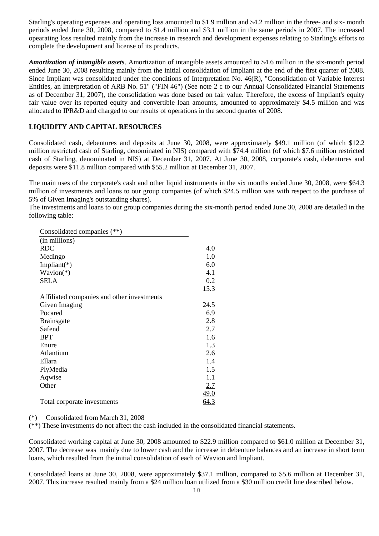Starling's operating expenses and operating loss amounted to \$1.9 million and \$4.2 million in the three- and six- month periods ended June 30, 2008, compared to \$1.4 million and \$3.1 million in the same periods in 2007. The increased opearating loss resulted mainly from the increase in research and development expenses relating to Starling's efforts to complete the development and license of its products.

*Amortization of intangible assets*. Amortization of intangible assets amounted to \$4.6 million in the six-month period ended June 30, 2008 resulting mainly from the initial consolidation of Impliant at the end of the first quarter of 2008. Since Impliant was consolidated under the conditions of Interpretation No. 46(R), "Consolidation of Variable Interest Entities, an Interpretation of ARB No. 51" ("FIN 46") (See note 2 c to our Annual Consolidated Financial Statements as of December 31, 2007), the consolidation was done based on fair value. Therefore, the excess of Impliant's equity fair value over its reported equity and convertible loan amounts, amounted to approximately \$4.5 million and was allocated to IPR&D and charged to our results of operations in the second quarter of 2008.

## **LIQUIDITY AND CAPITAL RESOURCES**

Consolidated cash, debentures and deposits at June 30, 2008, were approximately \$49.1 million (of which \$12.2 million restricted cash of Starling, denominated in NIS) compared with \$74.4 million (of which \$7.6 million restricted cash of Starling, denominated in NIS) at December 31, 2007. At June 30, 2008, corporate's cash, debentures and deposits were \$11.8 million compared with \$55.2 million at December 31, 2007.

The main uses of the corporate's cash and other liquid instruments in the six months ended June 30, 2008, were \$64.3 million of investments and loans to our group companies (of which \$24.5 million was with respect to the purchase of 5% of Given Imaging's outstanding shares).

The investments and loans to our group companies during the six-month period ended June 30, 2008 are detailed in the following table:

| Consolidated companies (**)                |            |
|--------------------------------------------|------------|
| (in millons)                               |            |
| <b>RDC</b>                                 | 4.0        |
| Medingo                                    | 1.0        |
| Impliant $(*)$                             | 6.0        |
| $Wavion(*)$                                | 4.1        |
| <b>SELA</b>                                | 0.2        |
|                                            | 15.3       |
| Affiliated companies and other investments |            |
| Given Imaging                              | 24.5       |
| Pocared                                    | 6.9        |
| <b>Brainsgate</b>                          | 2.8        |
| Safend                                     | 2.7        |
| <b>BPT</b>                                 | 1.6        |
| Enure                                      | 1.3        |
| Atlantium                                  | 2.6        |
| Ellara                                     | 1.4        |
| PlyMedia                                   | 1.5        |
| Aqwise                                     | 1.1        |
| Other                                      | <u>2.7</u> |
|                                            | 49.0       |
| Total corporate investments                | 64.3       |

#### (\*) Consolidated from March 31, 2008

(\*\*) These investments do not affect the cash included in the consolidated financial statements.

Consolidated working capital at June 30, 2008 amounted to \$22.9 million compared to \$61.0 million at December 31, 2007. The decrease was mainly due to lower cash and the increase in debenture balances and an increase in short term loans, which resulted from the initial consolidation of each of Wavion and Impliant.

Consolidated loans at June 30, 2008, were approximately \$37.1 million, compared to \$5.6 million at December 31, 2007. This increase resulted mainly from a \$24 million loan utilized from a \$30 million credit line described below.